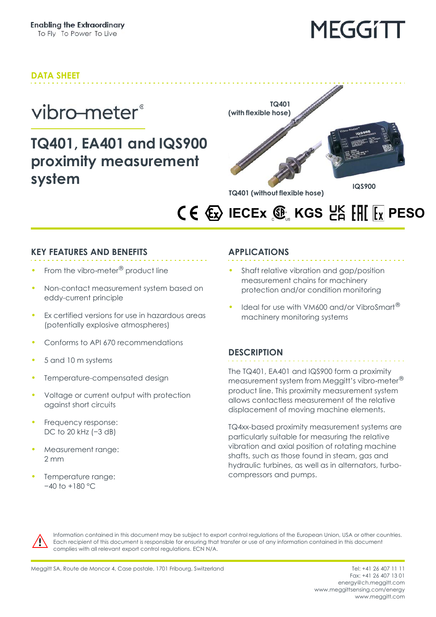## **DATA SHEET**

## vibro-meter®

## **TQ401, EA401 and IQS900 proximity measurement system**



## **IECEX**  $\mathbf{\mathfrak{F}}_{\scriptscriptstyle{\mathbb{R}}}$  **KGS**  $\mathsf{E}_{\mathsf{H}}^{\mathsf{K}}$  **[H[**  $\mathsf{F}_{\mathsf{X}}$  **PESO**

### **KEY FEATURES AND BENEFITS**

- From the vibro-meter<sup>®</sup> product line
- Non-contact measurement system based on eddy-current principle
- Ex certified versions for use in hazardous areas (potentially explosive atmospheres)
- Conforms to API 670 recommendations
- 5 and 10 m systems
- Temperature-compensated design
- Voltage or current output with protection against short circuits
- Frequency response: DC to 20 kHz (-3 dB)
- Measurement range: 2 mm
- Temperature range: −40 to +180 °C

## **APPLICATIONS**

- Shaft relative vibration and gap/position measurement chains for machinery protection and/or condition monitoring
- Ideal for use with VM600 and/or VibroSmart<sup>®</sup> machinery monitoring systems

### **DESCRIPTION**

The TQ401, EA401 and IQS900 form a proximity measurement system from Meggitt's vibro-meter® product line. This proximity measurement system allows contactless measurement of the relative displacement of moving machine elements.

TQ4xx-based proximity measurement systems are particularly suitable for measuring the relative vibration and axial position of rotating machine shafts, such as those found in steam, gas and hydraulic turbines, as well as in alternators, turbocompressors and pumps.



Information contained in this document may be subject to export control regulations of the European Union, USA or other countries. Each recipient of this document is responsible for ensuring that transfer or use of any information contained in this document complies with all relevant export control regulations. ECN N/A.

Fax: +41 26 407 13 01 energy@ch.meggitt.com [www.meggittsensing.com/energy](http://www.meggittsensing.com/energy) [www.meggitt.com](http://www.meggitt.com)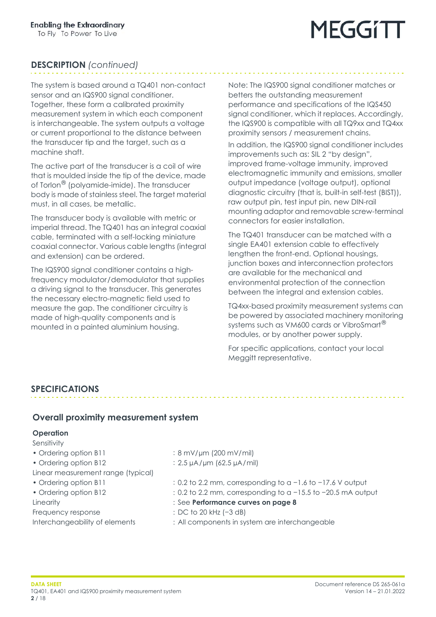## **DESCRIPTION** *(continued)*

The system is based around a TQ401 non-contact sensor and an IQS900 signal conditioner. Together, these form a calibrated proximity measurement system in which each component is interchangeable. The system outputs a voltage or current proportional to the distance between the transducer tip and the target, such as a machine shaft.

The active part of the transducer is a coil of wire that is moulded inside the tip of the device, made of Torlon® (polyamide-imide). The transducer body is made of stainless steel. The target material must, in all cases, be metallic.

The transducer body is available with metric or imperial thread. The TQ401 has an integral coaxial cable, terminated with a self-locking miniature coaxial connector. Various cable lengths (integral and extension) can be ordered.

The IQS900 signal conditioner contains a highfrequency modulator/demodulator that supplies a driving signal to the transducer. This generates the necessary electro-magnetic field used to measure the gap. The conditioner circuitry is made of high-quality components and is mounted in a painted aluminium housing.

Note: The IQS900 signal conditioner matches or betters the outstanding measurement performance and specifications of the IQS450 signal conditioner, which it replaces. Accordingly, the IQS900 is compatible with all TQ9xx and TQ4xx proximity sensors / measurement chains.

. . . . . . . . . . . . . . .

In addition, the IQS900 signal conditioner includes improvements such as: SIL 2 "by design", improved frame-voltage immunity, improved electromagnetic immunity and emissions, smaller output impedance (voltage output), optional diagnostic circuitry (that is, built-in self-test (BIST)), raw output pin, test input pin, new DIN-rail mounting adaptor and removable screw-terminal connectors for easier installation.

The TQ401 transducer can be matched with a single EA401 extension cable to effectively lengthen the front-end. Optional housings, junction boxes and interconnection protectors are available for the mechanical and environmental protection of the connection between the integral and extension cables.

TQ4xx-based proximity measurement systems can be powered by associated machinery monitoring systems such as VM600 cards or VibroSmart<sup>®</sup> modules, or by another power supply.

For specific applications, contact your local Meggitt representative.

### **SPECIFICATIONS**

#### **Overall proximity measurement system**

#### <span id="page-1-0"></span>**Operation**

Sensitivity

- 
- 
- Linear measurement range (typical)
- 
- Frequency response : DC to 20 kHz (−3 dB)

- Ordering option B11 : 8 mV/µm (200 mV/mil)
- Ordering option B12 : 2.5 µA/µm (62.5 µA/mil)
- Ordering option B11 : 0.2 to 2.2 mm, corresponding to a -1.6 to -17.6 V output
- Ordering option B12 : 0.2 to 2.2 mm, corresponding to a -15.5 to -20.5 mA output
- Linearity : See **Performance curves [on page](#page-7-0) 8**
	-
- Interchangeability of elements : All components in system are interchangeable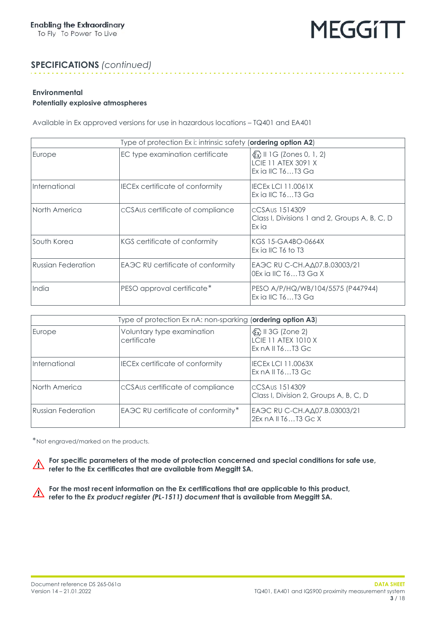

### **SPECIFICATIONS** *(continued)*

#### **Environmental**

#### <span id="page-2-0"></span>**Potentially explosive atmospheres**

Available in Ex approved versions for use in hazardous locations – TQ401 and EA401

| Type of protection Ex i: intrinsic safety (ordering option A2) |                                        |                                                                                                        |
|----------------------------------------------------------------|----------------------------------------|--------------------------------------------------------------------------------------------------------|
| Europe                                                         | EC type examination certificate        | $\langle \xi \overline{x} \rangle$ II 1G (Zones 0, 1, 2)<br>LCIE 11 ATEX 3091 X<br>Ex ia IIC $T6T3$ Ga |
| International                                                  | <b>IECEX certificate of conformity</b> | <b>IECEX LCI 11.0061X</b><br>Ex ia IIC $T6T3$ Ga                                                       |
| North America                                                  | cCSAus certificate of compliance       | CCSAus 1514309<br>Class I, Divisions 1 and 2, Groups A, B, C, D<br>Ex ia                               |
| South Korea                                                    | KGS certificate of conformity          | KGS 15-GA4BO-0664X<br>Ex ia IIC $T6$ to $T3$                                                           |
| <b>Russian Federation</b>                                      | EAGC RU certificate of conformity      | EA 3C RU C-CH. AΔ07. B.03003/21<br>0Ex ia IIC T6T3 Ga X                                                |
| India                                                          | PESO approval certificate*             | PESO A/P/HQ/WB/104/5575 (P447944)<br>Ex ia IIC $T6T3$ Ga                                               |

| Type of protection Ex nA: non-sparking (ordering option A3) |                                           |                                                                                          |
|-------------------------------------------------------------|-------------------------------------------|------------------------------------------------------------------------------------------|
| Europe                                                      | Voluntary type examination<br>certificate | $\langle \xi_x \rangle$ II 3G (Zone 2)<br><b>LCIE 11 ATEX 1010 X</b><br>Ex nA II T6T3 Gc |
| International                                               | <b>IECEx certificate of conformity</b>    | IIECEx LCI 11.0063X<br>Ex nA II T6T3 Gc                                                  |
| North America                                               | cCSAus certificate of compliance          | IcCSAus 1514309<br>Class I, Division 2, Groups A, B, C, D                                |
| Russian Federation                                          | EAGC RU certificate of conformity*        | EA 3C RU C-CH. A Δ07. Β. 03003/21<br>2Ex n A II T 6  T 3 G c X                           |

\*Not engraved/marked on the products.

**For specific parameters of the mode of protection concerned and special conditions for safe use, r refer to the Ex certificates that are available from Meggitt SA.** 

**For the most recent information on the Ex certifications that are applicable to this product, refer to the** *Ex product register (PL-1511) document* **that is available from Meggitt SA.**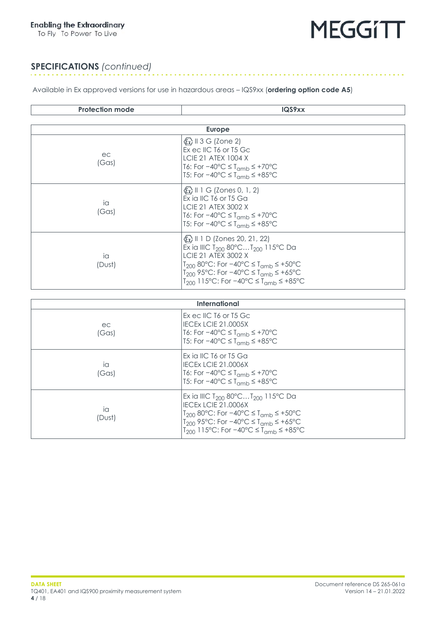To Fly To Power To Live



 $\alpha$  ,  $\alpha$  ,  $\alpha$  ,  $\alpha$  ,  $\alpha$  ,  $\alpha$ 

#### **SPECIFICATIONS** *(continued)*

Available in Ex approved versions for use in hazardous areas – IQS9xx (**ordering option code A5**)

| <b>Protection mode</b> | IQS9xx                                                                                                                                                                                                                                                                                                                           |  |  |
|------------------------|----------------------------------------------------------------------------------------------------------------------------------------------------------------------------------------------------------------------------------------------------------------------------------------------------------------------------------|--|--|
|                        |                                                                                                                                                                                                                                                                                                                                  |  |  |
|                        | <b>Europe</b>                                                                                                                                                                                                                                                                                                                    |  |  |
| ec<br>(Gas)            | $\langle \xi \overline{x} \rangle$ II 3 G (Zone 2)<br>Ex eclIC T <sub>6</sub> or T <sub>5</sub> Gc<br><b>LCIE 21 ATEX 1004 X</b><br>T6: For $-40^{\circ}$ C $\leq$ T <sub>amb</sub> $\leq$ +70 $^{\circ}$ C<br>T5: For $-40^{\circ}$ C $\leq$ T <sub>amb</sub> $\leq$ +85°C                                                      |  |  |
| ia<br>(Gas)            | $\langle \xi \overline{x} \rangle$ II 1 G (Zones 0, 1, 2)<br>Ex ia IIC T6 or T5 Ga<br><b>LCIE 21 ATEX 3002 X</b><br>T6: For $-40^{\circ}$ C $\leq$ T <sub>amb</sub> $\leq$ +70°C<br>T5: For $-40^{\circ}$ C $\leq$ T <sub>amb</sub> $\leq$ +85°C                                                                                 |  |  |
| ia<br>(Dust)           | $\langle \xi \overline{x} \rangle$ II 1 D (Zones 20, 21, 22)<br>Ex ia IIIC T <sub>200</sub> 80°CT <sub>200</sub> 115°C Da<br><b>LCIE 21 ATEX 3002 X</b><br>$T_{200}$ 80°C: For -40°C ≤ $T_{\text{amb}}$ ≤ +50°C<br>$T_{200}$ 95°C: For -40°C ≤ $T_{\text{amb}}$ ≤ +65°C<br>$T_{200}$ 115°C: For -40°C ≤ $T_{\text{cmb}}$ ≤ +85°C |  |  |
|                        |                                                                                                                                                                                                                                                                                                                                  |  |  |
| <b>International</b>   |                                                                                                                                                                                                                                                                                                                                  |  |  |
| ec<br>(Gas)            | Ex eclIC T <sub>6</sub> or T <sub>5</sub> Gc<br><b>IECEX LCIE 21.0005X</b><br>T6: For $-40^{\circ}$ C $\leq$ T <sub>amb</sub> $\leq$ +70 $^{\circ}$ C<br>T5: For $-40^{\circ}$ C $\leq$ T <sub>amb</sub> $\leq$ +85°C                                                                                                            |  |  |
| ia<br>(Gas)            | Ex ia IIC T6 or T5 Ga<br><b>IECEX LCIE 21.0006X</b><br>T6: For $-40^{\circ}$ C $\leq$ T <sub>amb</sub> $\leq$ +70 $^{\circ}$ C<br>T5: For $-40^{\circ}$ C $\leq$ T <sub>amb</sub> $\leq$ +85°C                                                                                                                                   |  |  |

Ex ia IIIC T<sub>200</sub> 80°C...T<sub>200</sub> 115°C Da

T<sub>200</sub> 80°C: For −40°C ≤ T<sub>amb</sub> ≤ +50°C T<sub>200</sub> 95°C: For −40°C ≤ T<sub>amb</sub> ≤ +65°C T<sub>200</sub> 115°C: For −40°C ≤ T<sub>amb</sub> ≤ +85°C

IECEx LCIE 21.0006X

ia (Dust)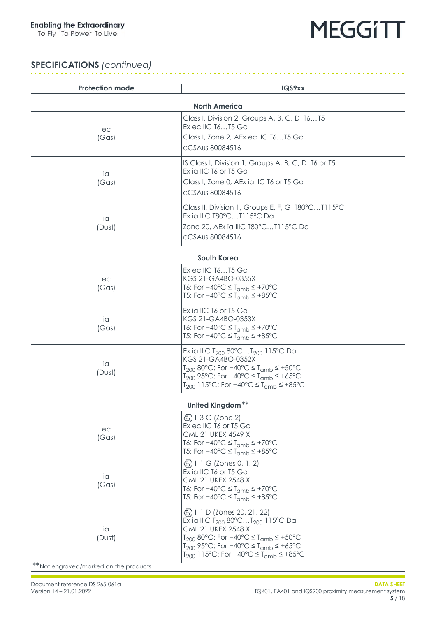To Fly To Power To Live



## **SPECIFICATIONS** *(continued)*

| <b>Protection mode</b>                  | IQS9xx                                                                                                                                   |  |  |
|-----------------------------------------|------------------------------------------------------------------------------------------------------------------------------------------|--|--|
|                                         |                                                                                                                                          |  |  |
|                                         | <b>North America</b><br>Class I, Division 2, Groups A, B, C, D T6T5                                                                      |  |  |
| ec                                      | Ex ec IIC T6T5 Gc                                                                                                                        |  |  |
| (Gas)                                   | Class I, Zone 2, AEx ec IIC T6T5 Gc<br>CCSAus 80084516                                                                                   |  |  |
|                                         |                                                                                                                                          |  |  |
| ia                                      | IS Class I, Division 1, Groups A, B, C, D T6 or T5<br>Ex ia IIC T6 or T5 Ga                                                              |  |  |
| (Gas)                                   | Class I, Zone 0, AEx ia IIC T6 or T5 Ga                                                                                                  |  |  |
|                                         | CCSAus 80084516                                                                                                                          |  |  |
|                                         | Class II, Division 1, Groups E, F, G T80°CT115°C<br>Ex ia IIIC T80°CT115°C Da                                                            |  |  |
| ia<br>(Dust)                            | Zone 20, AEx ia IIIC T80°CT115°C Da                                                                                                      |  |  |
|                                         | cCSAus 80084516                                                                                                                          |  |  |
|                                         |                                                                                                                                          |  |  |
|                                         | South Korea                                                                                                                              |  |  |
|                                         | Ex ec IIC T6T5 Gc                                                                                                                        |  |  |
| ec<br>(Gas)                             | KGS 21-GA4BO-0355X<br>T6: For $-40^{\circ}$ C $\leq$ T <sub>amb</sub> $\leq$ +70 $^{\circ}$ C                                            |  |  |
|                                         | T5: For $-40^{\circ}$ C $\leq$ T <sub>amb</sub> $\leq$ +85 $^{\circ}$ C                                                                  |  |  |
|                                         | Ex ia IIC T6 or T5 Ga                                                                                                                    |  |  |
| ia                                      | KGS 21-GA4BO-0353X<br>T6: For $-40^{\circ}$ C $\leq$ T <sub>amb</sub> $\leq$ +70 $^{\circ}$ C                                            |  |  |
| (Gas)                                   | T5: For $-40^{\circ}$ C ≤ T <sub>amb</sub> ≤ +85 $^{\circ}$ C                                                                            |  |  |
|                                         | Ex ia IIIC T <sub>200</sub> 80°CT <sub>200</sub> 115°C Da                                                                                |  |  |
| ia                                      | KGS 21-GA4BO-0352X<br>$T_{200}$ 80°C: For $-40$ °C ≤ $T_{\text{cmb}}$ ≤ +50°C                                                            |  |  |
| (Dust)                                  | $T_{200}$ 95°C: For -40°C ≤ $T_{\text{cmb}}$ ≤ +65°C                                                                                     |  |  |
|                                         | T <sub>200</sub> 115°C: For -40°C ≤ T <sub>amb</sub> ≤ +85°C                                                                             |  |  |
|                                         |                                                                                                                                          |  |  |
|                                         | <b>United Kingdom**</b>                                                                                                                  |  |  |
|                                         | $\langle \overline{\epsilon_x} \rangle$ II 3 G (Zone 2)<br>Ex ec IIC T6 or T5 Gc                                                         |  |  |
| ec<br>(Gas)                             | <b>CML 21 UKEX 4549 X</b>                                                                                                                |  |  |
|                                         | T6: For $-40^{\circ}$ C $\leq$ T <sub>amb</sub> $\leq$ +70 $^{\circ}$ C<br>T5: For $-40^{\circ}$ C ≤ T <sub>amb</sub> ≤ +85 $^{\circ}$ C |  |  |
|                                         | $\langle \overline{\xi_x} \rangle$ II 1 G (Zones 0, 1, 2)                                                                                |  |  |
| ia                                      | Ex ia IIC T6 or T5 Ga                                                                                                                    |  |  |
| (Gas)                                   | <b>CML 21 UKEX 2548 X</b>                                                                                                                |  |  |
|                                         | T6: For $-40^{\circ}$ C $\leq$ T <sub>amb</sub> $\leq$ +70 $^{\circ}$ C<br>T5: For $-40^{\circ}$ C ≤ T <sub>amb</sub> ≤ +85 $^{\circ}$ C |  |  |
|                                         | $\langle \xi_{\mathbf{x}} \rangle$ II 1 D (Zones 20, 21, 22)                                                                             |  |  |
|                                         | Ex ia IIIC T <sub>200</sub> 80°CT <sub>200</sub> 115°C Da                                                                                |  |  |
| ia                                      | <b>CML 21 UKEX 2548 X</b><br>$T_{200}$ 80°C: For $-40$ °C ≤ $T_{\text{amb}}$ ≤ +50°C                                                     |  |  |
| (Dust)                                  | $T_{200}$ 95°C: For -40°C ≤ $T_{\text{amb}}$ ≤ +65°C                                                                                     |  |  |
|                                         | $T_{200}$ 115°C: For -40°C ≤ $T_{\text{cmb}}$ ≤ +85°C                                                                                    |  |  |
| ** Not engraved/marked on the products. |                                                                                                                                          |  |  |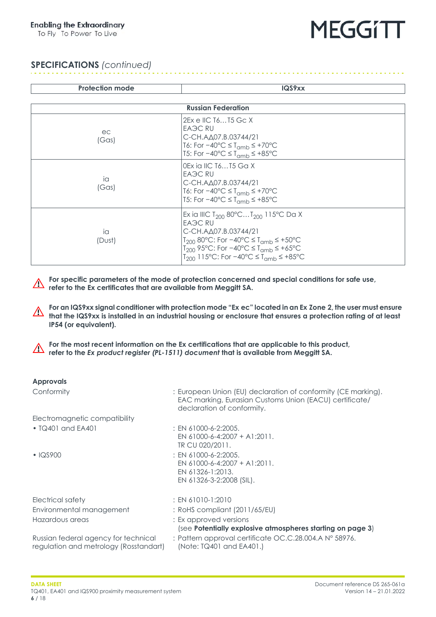To Fly To Power To Live



### **SPECIFICATIONS** *(continued)*

| <b>Protection mode</b>    | IQS9xx                                                                                                                                                                                                                                                                         |  |
|---------------------------|--------------------------------------------------------------------------------------------------------------------------------------------------------------------------------------------------------------------------------------------------------------------------------|--|
|                           |                                                                                                                                                                                                                                                                                |  |
| <b>Russian Federation</b> |                                                                                                                                                                                                                                                                                |  |
| ec<br>(Gas)               | 2Ex e IIC T6T5 Gc X<br><b>EAGC RU</b><br>С-CH.AД07.B.03744/21<br>T6: For $-40^{\circ}$ C $\leq$ T <sub>amb</sub> $\leq$ +70 $^{\circ}$ C<br>T5: For $-40^{\circ}$ C $\leq$ T <sub>amb</sub> $\leq$ +85°C                                                                       |  |
| ia<br>(Gas)               | l0Ex ia IIC T6T5 Ga X<br>EA <sub>3</sub> C RU<br>С-CH.AД07.B.03744/21<br>T6: For $-40^{\circ}$ C $\leq$ T <sub>amb</sub> $\leq$ +70 $^{\circ}$ C<br>T5: For $-40^{\circ}$ C ≤ T <sub>amb</sub> ≤ +85 $^{\circ}$ C                                                              |  |
| ia<br>(Dust)              | Ex ia IIIC T <sub>200</sub> 80°CT <sub>200</sub> 115°C Da X<br><b>EAGC RU</b><br>С-CH.AД07.B.03744/21<br>$T_{200}$ 80°C: For -40°C ≤ $T_{\text{cmb}}$ ≤ +50°C<br>$T_{200}$ 95°C: For −40°C ≤ $T_{\text{amb}}$ ≤ +65°C<br>$T_{200}$ 115°C: For −40°C ≤ $T_{\text{cmb}}$ ≤ +85°C |  |

**For specific parameters of the mode of protection concerned and special conditions for safe use, refer to the Ex certificates that are available from Meggitt SA.** 

**For an IQS9xx signal conditioner with protection mode "Ex ec" located in an Ex Zone 2, the user must ensure that the IQS9xx is installed in an industrial housing or enclosure that ensures a protection rating of at least IP54 (or equivalent).**

**For the most recent information on the Ex certifications that are applicable to this product,**  $\bigwedge$ **refer to the** *Ex product register (PL-1511) document* **that is available from Meggitt SA.**

| <b>Approvals</b>                                                               |                                                                                                                                                        |
|--------------------------------------------------------------------------------|--------------------------------------------------------------------------------------------------------------------------------------------------------|
| Conformity                                                                     | : European Union (EU) declaration of conformity (CE marking).<br>EAC marking, Eurasian Customs Union (EACU) certificate/<br>declaration of conformity. |
| Electromagnetic compatibility                                                  |                                                                                                                                                        |
| $\bullet$ TQ401 and EA401                                                      | $:$ EN 61000-6-2:2005.<br>EN 61000-6-4:2007 + A1:2011.<br>TR CU 020/2011.                                                                              |
| $\cdot$ IQS900                                                                 | $:$ EN 61000-6-2:2005.<br>EN 61000-6-4:2007 + A1:2011.<br>EN 61326-1:2013.<br>EN 61326-3-2:2008 (SIL).                                                 |
| Electrical safety                                                              | $: EN 61010-1:2010$                                                                                                                                    |
| Environmental management                                                       | : RoHS compliant (2011/65/EU)                                                                                                                          |
| Hazardous areas                                                                | : Ex approved versions<br>(see Potentially explosive atmospheres starting on page 3)                                                                   |
| Russian federal agency for technical<br>regulation and metrology (Rosstandart) | : Pattern approval certificate OC.C.28.004.A N° 58976.<br>(Note: TQ401 and EA401.)                                                                     |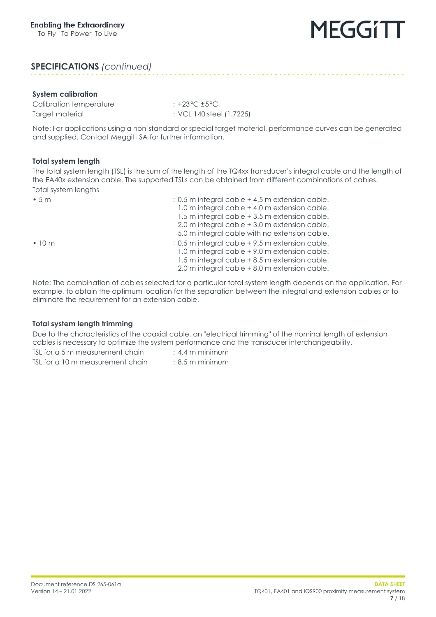### **SPECIFICATIONS** *(continued)*

#### **System calibration**

Calibration temperature : +23°C ±5°C Target material  $\qquad \qquad :$  VCL 140 steel (1.7225)

Note: For applications using a non-standard or special target material, performance curves can be generated and supplied. Contact Meggitt SA for further information.

#### <span id="page-6-0"></span>**Total system length**

The total system length (TSL) is the sum of the length of the TQ4xx transducer's integral cable and the length of the EA40x extension cable. The supported TSLs can be obtained from different combinations of cables. Total system lengths

| •5m          | : 0.5 m integral cable + 4.5 m extension cable. |
|--------------|-------------------------------------------------|
|              | 1.0 m integral cable + 4.0 m extension cable.   |
|              | 1.5 m integral cable + 3.5 m extension cable.   |
|              | 2.0 m integral cable + 3.0 m extension cable.   |
|              | 5.0 m integral cable with no extension cable.   |
| $\cdot$ 10 m | : 0.5 m integral cable +9.5 m extension cable.  |
|              | 1.0 m integral cable +9.0 m extension cable.    |
|              | 1.5 m integral cable + 8.5 m extension cable.   |
|              | 2.0 m integral cable + 8.0 m extension cable.   |

Note: The combination of cables selected for a particular total system length depends on the application. For example, to obtain the optimum location for the separation between the integral and extension cables or to eliminate the requirement for an extension cable.

#### <span id="page-6-1"></span>**Total system length trimming**

Due to the characteristics of the coaxial cable, an "electrical trimming" of the nominal length of extension cables is necessary to optimize the system performance and the transducer interchangeability.

TSL for a 5 m measurement chain  $\cdot$  : 4.4 m minimum

TSL for a 10 m measurement chain : 8.5 m minimum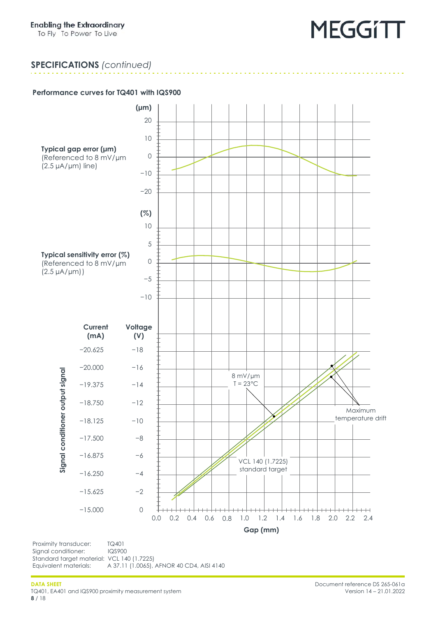## **SPECIFICATIONS** *(continued)*

### <span id="page-7-0"></span>**Performance curves for TQ401 with IQS900**



Signal conditioner: IQS900 Standard target material: VCL 140 (1.7225)<br>Equivalent materials: A 37.11 (1.0065), A 37.11 (1.0065), AFNOR 40 CD4, AISI 4140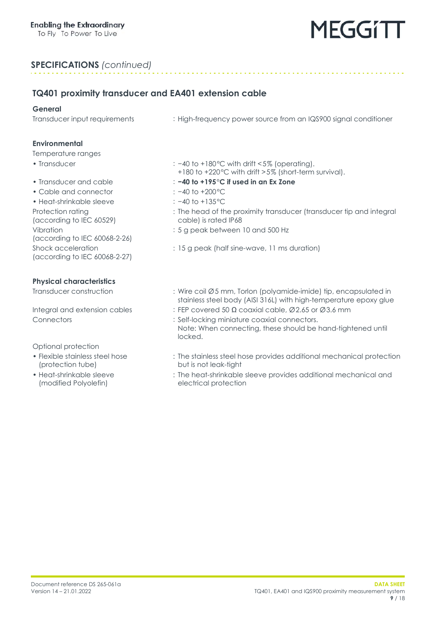### **SPECIFICATIONS** *(continued)*

### **TQ401 proximity transducer and EA401 extension cable**

#### **General**

Transducer input requirements : High-frequency power source from an IQS900 signal conditioner

#### **Environmental**

#### Temperature ranges

- 
- 
- Cable and connector : −40 to +200°C
- Heat-shrinkable sleeve : −40 to +135°C Protection rating (according to IEC 60529) Vibration (according to IEC 60068-2-26) Shock acceleration (according to IEC 60068-2-27)

#### **Physical characteristics**

Optional protection

- Flexible stainless steel hose (protection tube)
- Heat-shrinkable sleeve (modified Polyolefin)
- Transducer : −40 to +180°C with drift <5% (operating).
	- +180 to +220°C with drift >5% (short-term survival).
- Transducer and cable : **−40 to +195°C if used in an Ex Zone**
	-
	-
	- : The head of the proximity transducer (transducer tip and integral cable) is rated IP68
	- : 5 g peak between 10 and 500 Hz
	- : 15 g peak (half sine-wave, 11 ms duration)
- Transducer construction : Wire coil Ø5 mm, Torlon (polyamide-imide) tip, encapsulated in stainless steel body (AISI 316L) with high-temperature epoxy glue
- Integral and extension cables : FEP covered 50  $\Omega$  coaxial cable, Ø2.65 or Ø3.6 mm
- Connectors : Self-locking miniature coaxial connectors. Note: When connecting, these should be hand-tightened until locked.
	- : The stainless steel hose provides additional mechanical protection but is not leak-tight
	- : The heat-shrinkable sleeve provides additional mechanical and electrical protection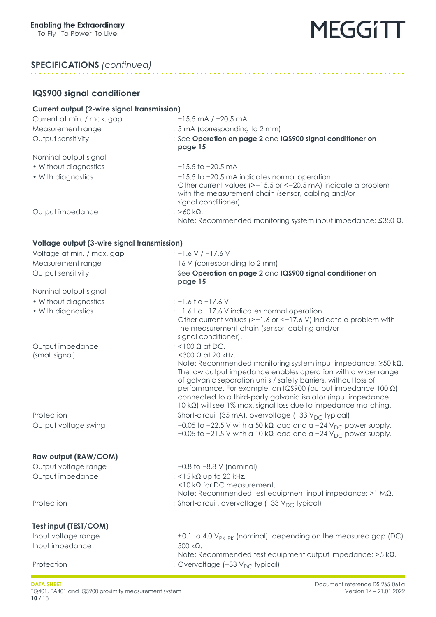### **SPECIFICATIONS** *(continued)*

### **IQS900 signal conditioner**

| <b>Current output (2-wire signal transmission)</b> |                                                                                                                                                                                                                                                                                                                                                                                                                                                                            |  |
|----------------------------------------------------|----------------------------------------------------------------------------------------------------------------------------------------------------------------------------------------------------------------------------------------------------------------------------------------------------------------------------------------------------------------------------------------------------------------------------------------------------------------------------|--|
| Current at min. / max. gap                         | $: -15.5$ mA / $-20.5$ mA                                                                                                                                                                                                                                                                                                                                                                                                                                                  |  |
| Measurement range                                  | : 5 mA (corresponding to 2 mm)                                                                                                                                                                                                                                                                                                                                                                                                                                             |  |
| Output sensitivity                                 | : See Operation on page 2 and IQS900 signal conditioner on<br>page 15                                                                                                                                                                                                                                                                                                                                                                                                      |  |
| Nominal output signal                              |                                                                                                                                                                                                                                                                                                                                                                                                                                                                            |  |
| • Without diagnostics                              | $: -15.5$ to $-20.5$ mA                                                                                                                                                                                                                                                                                                                                                                                                                                                    |  |
| • With diagnostics                                 | : -15.5 to -20.5 mA indicates normal operation.<br>Other current values (>-15.5 or <-20.5 mA) indicate a problem<br>with the measurement chain (sensor, cabling and/or<br>signal conditioner).                                                                                                                                                                                                                                                                             |  |
| Output impedance                                   | : $>60$ kΩ.<br>Note: Recommended monitoring system input impedance: $\leq$ 350 $\Omega$ .                                                                                                                                                                                                                                                                                                                                                                                  |  |
| Voltage output (3-wire signal transmission)        |                                                                                                                                                                                                                                                                                                                                                                                                                                                                            |  |
| Voltage at min. / max. gap                         | $: -1.6 V / -17.6 V$                                                                                                                                                                                                                                                                                                                                                                                                                                                       |  |
| Measurement range                                  | : 16 V (corresponding to 2 mm)                                                                                                                                                                                                                                                                                                                                                                                                                                             |  |
| Output sensitivity                                 | : See Operation on page 2 and IQS900 signal conditioner on<br>page 15                                                                                                                                                                                                                                                                                                                                                                                                      |  |
| Nominal output signal                              |                                                                                                                                                                                                                                                                                                                                                                                                                                                                            |  |
| • Without diagnostics                              | $: -1.6$ † o -17.6 V                                                                                                                                                                                                                                                                                                                                                                                                                                                       |  |
| • With diagnostics                                 | : -1.6 t o -17.6 V indicates normal operation.<br>Other current values (>-1.6 or <-17.6 V) indicate a problem with<br>the measurement chain (sensor, cabling and/or<br>signal conditioner).                                                                                                                                                                                                                                                                                |  |
| Output impedance<br>(small signal)                 | : <100 $\Omega$ at DC.<br><300 $\Omega$ at 20 kHz.<br>Note: Recommended monitoring system input impedance: ≥50 kΩ.<br>The low output impedance enables operation with a wider range<br>of galvanic separation units / safety barriers, without loss of<br>performance. For example, an IQS900 (output impedance $100 \Omega$ )<br>connected to a third-party galvanic isolator (input impedance<br>10 k $\Omega$ ) will see 1% max. signal loss due to impedance matching. |  |
| Protection                                         | : Short-circuit (35 mA), overvoltage (-33 V <sub>DC</sub> typical)                                                                                                                                                                                                                                                                                                                                                                                                         |  |
| Output voltage swing                               | $\frac{1}{2}$ -0.05 to -22.5 V with a 50 kQ load and a -24 V <sub>DC</sub> power supply.<br>$-0.05$ to $-21.5$ V with a 10 k $\Omega$ load and a $-24$ V <sub>DC</sub> power supply.                                                                                                                                                                                                                                                                                       |  |
| Raw output (RAW/COM)                               |                                                                                                                                                                                                                                                                                                                                                                                                                                                                            |  |
| Output voltage range                               | : -0.8 to -8.8 V (nominal)                                                                                                                                                                                                                                                                                                                                                                                                                                                 |  |
| Output impedance                                   | : <15 $k\Omega$ up to 20 kHz.<br>$<$ 10 k $\Omega$ for DC measurement.<br>Note: Recommended test equipment input impedance: $>1$ M $\Omega$ .                                                                                                                                                                                                                                                                                                                              |  |
| Protection                                         | : Short-circuit, overvoltage (-33 V <sub>DC</sub> typical)                                                                                                                                                                                                                                                                                                                                                                                                                 |  |
| Test input (TEST/COM)                              |                                                                                                                                                                                                                                                                                                                                                                                                                                                                            |  |
| Input voltage range                                | $\pm$ 1.1 to 4.0 V <sub>PK-PK</sub> (nominal), depending on the measured gap (DC)                                                                                                                                                                                                                                                                                                                                                                                          |  |
| Input impedance                                    | : $500 k\Omega$ .<br>Note: Recommended test equipment output impedance: $>5$ k $\Omega$ .                                                                                                                                                                                                                                                                                                                                                                                  |  |
| Protection                                         | : Overvoltage (-33 V <sub>DC</sub> typical)                                                                                                                                                                                                                                                                                                                                                                                                                                |  |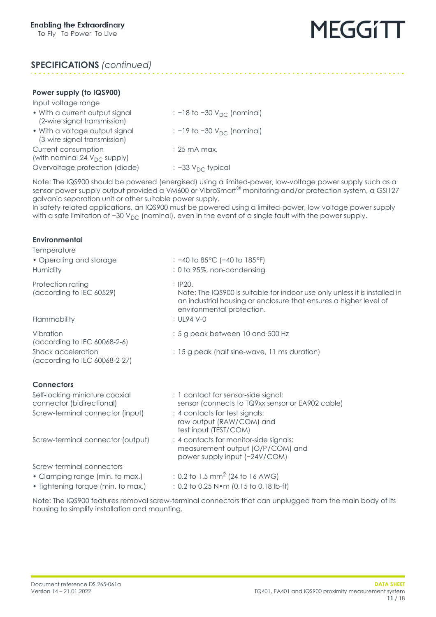## **SPECIFICATIONS** *(continued)*

### **Power supply (to IQS900)**

| $1.911$ . The supply the recover of                            |                                            |
|----------------------------------------------------------------|--------------------------------------------|
| Input voltage range                                            |                                            |
| • With a current output signal<br>(2-wire signal transmission) | $\therefore$ -18 to -30 $V_{DC}$ (nominal) |
| • With a voltage output signal<br>(3-wire signal transmission) | $\therefore$ -19 to -30 $V_{DC}$ (nominal) |
| Current consumption<br>(with nominal 24 $V_{DC}$ supply)       | $: 25 \text{ mA max}$ .                    |
| Overvoltage protection (diode)                                 | $\therefore$ -33 $V_{DC}$ typical          |

Note: The IQS900 should be powered (energised) using a limited-power, low-voltage power supply such as a sensor power supply output provided a VM600 or VibroSmart<sup>®</sup> monitoring and/or protection system, a GSI127 galvanic separation unit or other suitable power supply.

In safety-related applications, an IQS900 must be powered using a limited-power, low-voltage power supply with a safe limitation of  $-30$  V<sub>DC</sub> (nominal), even in the event of a single fault with the power supply.

<span id="page-10-0"></span>

| <b>Environmental</b>                                        |                                                                                                                                                                                         |
|-------------------------------------------------------------|-----------------------------------------------------------------------------------------------------------------------------------------------------------------------------------------|
| Temperature<br>• Operating and storage<br>Humidity          | : $-40$ to 85 °C ( $-40$ to 185 °F)<br>: 0 to 95%, non-condensing                                                                                                                       |
| Protection rating<br>(according to IEC 60529)               | : IP20.<br>Note: The IQS900 is suitable for indoor use only unless it is installed in<br>an industrial housing or enclosure that ensures a higher level of<br>environmental protection. |
| Flammability                                                | : $UI94 V-0$                                                                                                                                                                            |
| Vibration<br>(according to IEC 60068-2-6)                   | : 5 g peak between 10 and 500 Hz                                                                                                                                                        |
| Shock acceleration<br>(according to IEC 60068-2-27)         | : 15 g peak (half sine-wave, 11 ms duration)                                                                                                                                            |
| <b>Connectors</b>                                           |                                                                                                                                                                                         |
| Self-locking miniature coaxial<br>connector (bidirectional) | : 1 contact for sensor-side signal:<br>sensor (connects to TQ9xx sensor or EA902 cable)                                                                                                 |
| Screw-terminal connector (input)                            | : 4 contacts for test signals:<br>raw output (RAW/COM) and<br>test input (TEST/COM)                                                                                                     |
| Screw-terminal connector (output)                           | : 4 contacts for monitor-side signals:<br>measurement output (O/P/COM) and<br>power supply input (-24V/COM)                                                                             |
| Screw-terminal connectors                                   |                                                                                                                                                                                         |
| • Clamping range (min. to max.)                             | : 0.2 to 1.5 mm <sup>2</sup> (24 to 16 AWG)                                                                                                                                             |
| • Tightening torque (min. to max.)                          | : 0.2 to 0.25 N · m (0.15 to 0.18 lb-ft)                                                                                                                                                |
|                                                             | Note: The IQS900 features removal screw-terminal connectors that can unplugged from the main body of its                                                                                |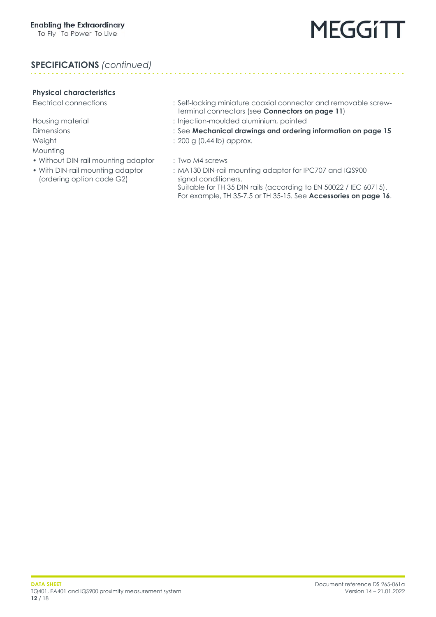### **SPECIFICATIONS** *(continued)*

#### **Physical characteristics**

Mounting

- Without DIN-rail mounting adaptor : Two M4 screws
- With DIN-rail mounting adaptor (ordering option code G2)
- Electrical connections : Self-locking miniature coaxial connector and removable screwterminal connectors (see **[Connectors on page](#page-10-0) 11**)
- Housing material **investigative intervalse and the injection-moulded aluminium, painted**
- Dimensions : See **Mechanical drawings and ordering information [on page](#page-14-0) 15**
- Weight : 200 g (0.44 lb) approx.
	-
	- : MA130 DIN-rail mounting adaptor for IPC707 and IQS900 signal conditioners. Suitable for TH 35 DIN rails (according to EN 50022 / IEC 60715). For example, TH 35-7.5 or TH 35-15. See **[Accessories on page](#page-15-0) 16**.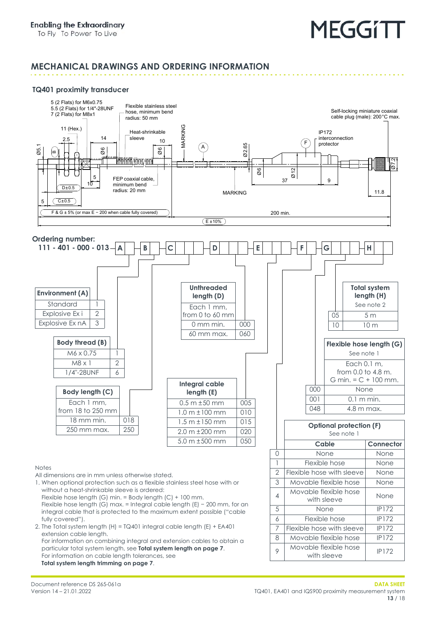### **MECHANICAL DRAWINGS AND ORDERING INFORMATION**

#### **TQ401 proximity transducer**



Document reference DS 265-061a Version 14 – 21.01.2022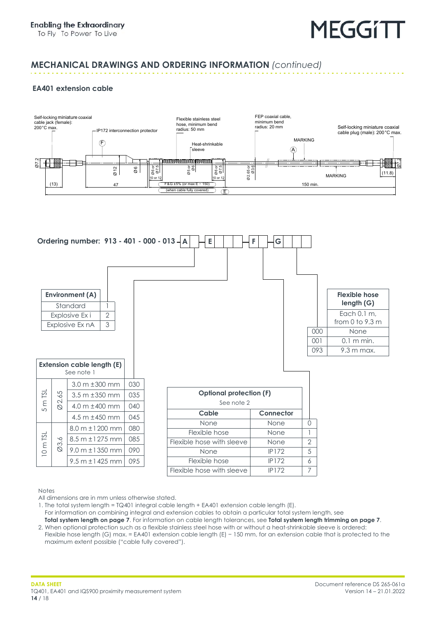### **MECHANICAL DRAWINGS AND ORDERING INFORMATION** *(continued)*

#### **EA401 extension cable**





Notes

All dimensions are in mm unless otherwise stated.

1. The total system length = TQ401 integral cable length + EA401 extension cable length (E).

- For information on combining integral and extension cables to obtain a particular total system length, see **[Total system length on page](#page-6-0) 7**. For information on cable length tolerances, see **[Total system length trimming on page](#page-6-1) 7**.
- 2. When optional protection such as a flexible stainless steel hose with or without a heat-shrinkable sleeve is ordered: Flexible hose length (G) max. = EA401 extension cable length (E) − 150 mm, for an extension cable that is protected to the maximum extent possible ("cable fully covered").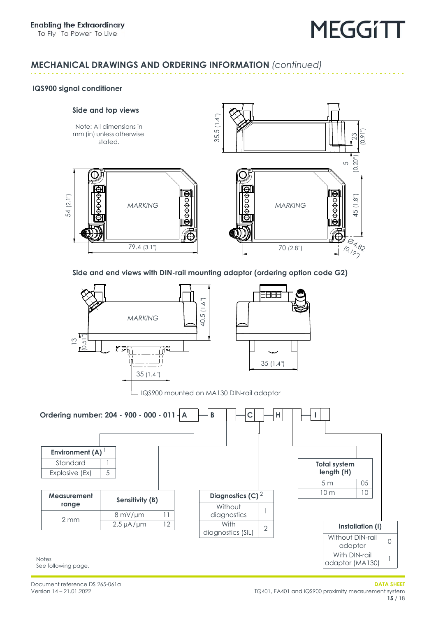## **MECHANICAL DRAWINGS AND ORDERING INFORMATION** *(continued)*

#### <span id="page-14-0"></span>**IQS900 signal conditioner**

54 (2.1″)

#### **Side and top views**

mm (in) unless otherwise stated.



**Side and end views with DIN-rail mounting adaptor (ordering option code G2)**



See following page.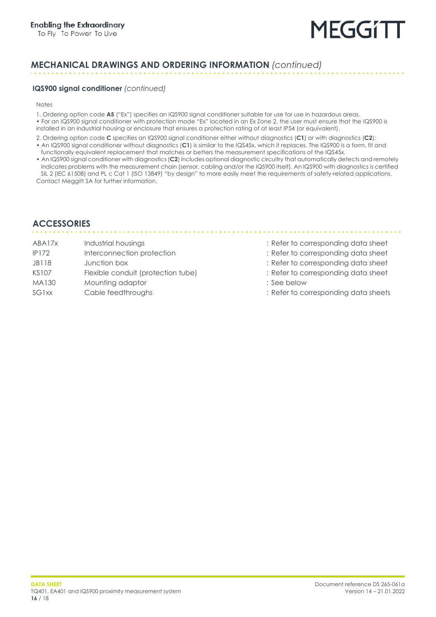## **MECHANICAL DRAWINGS AND ORDERING INFORMATION** *(continued)*

#### **IQS900 signal conditioner** *(continued)*

Notes

- 1. Ordering option code **A5** ("Ex") specifies an IQS900 signal conditioner suitable for use for use in hazardous areas.
- For an IQS900 signal conditioner with protection mode "Ex" located in an Ex Zone 2, the user must ensure that the IQS900 is installed in an industrial housing or enclosure that ensures a protection rating of at least IP54 (or equivalent).
- 2. Ordering option code **C** specifies an IQS900 signal conditioner either without diagnostics (**C1**) or with diagnostics (**C2**): • An IQS900 signal conditioner without diagnostics (**C1**) is similar to the IQS45x, which it replaces. The IQS900 is a form, fit and
- functionally equivalent replacement that matches or betters the measurement specifications of the IQS45x.
- An IQS900 signal conditioner with diagnostics (**C2**) includes optional diagnostic circuitry that automatically detects and remotely indicates problems with the measurement chain (sensor, cabling and/or the IQS900 itself). An IQS900 with diagnostics is certified SIL 2 (IEC 61508) and PL c Cat 1 (ISO 13849) "by design" to more easily meet the requirements of safety-related applications. Contact Meggitt SA for further information.

## <span id="page-15-0"></span>**ACCESSORIES**

- 
- IP172 Interconnection protection : Refer to corresponding data sheet
- 
- KS107 Flexible conduit (protection tube) : Refer to corresponding data sheet
- MA130 Mounting adaptor **Manufacture 1997** See below
- 
- ABA17x Industrial housings in the state of the corresponding data sheet in the ABA17x

- 
- JB118 Junction box : Refer to corresponding data sheet
	-
	-
- SG1xx Cable feedthroughs : Refer to corresponding data sheets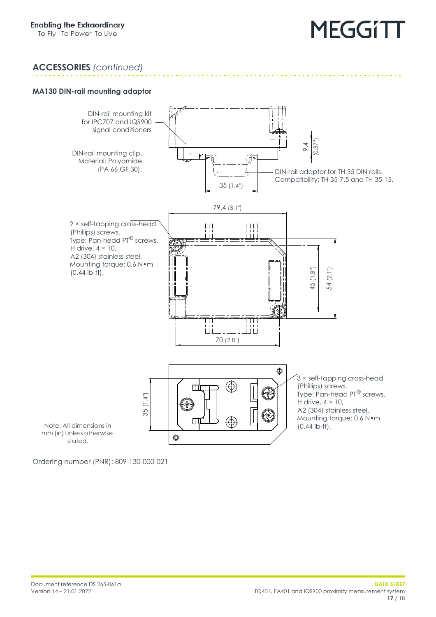## **ACCESSORIES** *(continued)*

#### **MA130 DIN-rail mounting adaptor**



Ordering number (PNR): 809-130-000-021